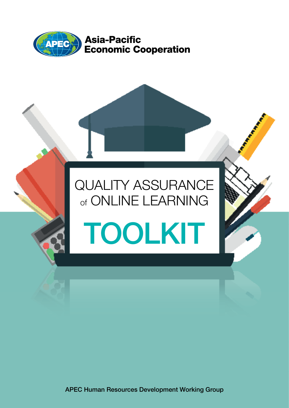

# QUALITY ASSURANCE of ONLINE LEARNING TOOLKIT

APEC Human Resources Development Working Group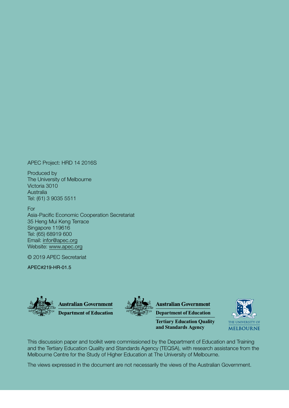APEC Project: HRD 14 2016S

Produced by The University of Melbourne Victoria 3010 Australia Tel: (61) 3 9035 5511

For Asia-Pacific Economic Cooperation Secretariat 35 Heng Mui Keng Terrace Singapore 119616 Tel: (65) 68919 600 Email: infor@apec.org Website: www.apec.org

© 2019 APEC Secretariat

APEC#219-HR-01.5





**Australian Government** 

**Department of Education**

**Tertiary Education Quality and Standards Agency**



This discussion paper and toolkit were commissioned by the Department of Education and Training and the Tertiary Education Quality and Standards Agency (TEQSA), with research assistance from the Melbourne Centre for the Study of Higher Education at The University of Melbourne.

The views expressed in the document are not necessarily the views of the Australian Government.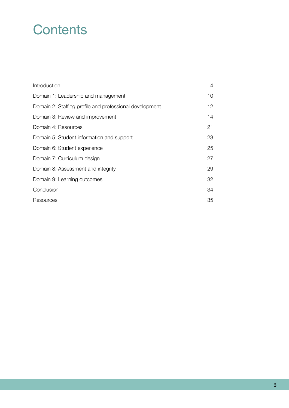## **Contents**

| Introduction                                            | 4  |
|---------------------------------------------------------|----|
| Domain 1: Leadership and management                     | 10 |
| Domain 2: Staffing profile and professional development | 12 |
| Domain 3: Review and improvement                        | 14 |
| Domain 4: Resources                                     | 21 |
| Domain 5: Student information and support               | 23 |
| Domain 6: Student experience                            | 25 |
| Domain 7: Curriculum design                             | 27 |
| Domain 8: Assessment and integrity                      | 29 |
| Domain 9: Learning outcomes                             | 32 |
| Conclusion                                              | 34 |
| Resources                                               | 35 |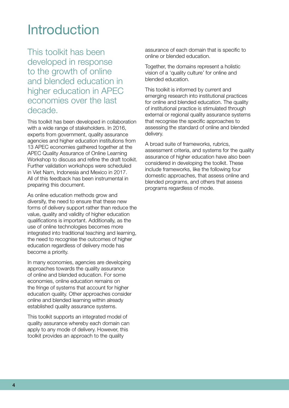## <span id="page-3-0"></span>Introduction

This toolkit has been developed in response to the growth of online and blended education in higher education in APEC economies over the last decade.

This toolkit has been developed in collaboration with a wide range of stakeholders. In 2016, experts from government, quality assurance agencies and higher education institutions from 13 APEC economies gathered together at the APEC Quality Assurance of Online Learning Workshop to discuss and refine the draft toolkit. Further validation workshops were scheduled in Viet Nam, Indonesia and Mexico in 2017. All of this feedback has been instrumental in preparing this document.

As online education methods grow and diversify, the need to ensure that these new forms of delivery support rather than reduce the value, quality and validity of higher education qualifications is important. Additionally, as the use of online technologies becomes more integrated into traditional teaching and learning, the need to recognise the outcomes of higher education regardless of delivery mode has become a priority.

In many economies, agencies are developing approaches towards the quality assurance of online and blended education. For some economies, online education remains on the fringe of systems that account for higher education quality. Other approaches consider online and blended learning within already established quality assurance systems.

This toolkit supports an integrated model of quality assurance whereby each domain can apply to any mode of delivery. However, this toolkit provides an approach to the quality

assurance of each domain that is specific to online or blended education.

Together, the domains represent a holistic vision of a 'quality culture' for online and blended education.

This toolkit is informed by current and emerging research into institutional practices for online and blended education. The quality of institutional practice is stimulated through external or regional quality assurance systems that recognise the specific approaches to assessing the standard of online and blended delivery.

A broad suite of frameworks, rubrics, assessment criteria, and systems for the quality assurance of higher education have also been considered in developing the toolkit. These include frameworks, like the following four domestic approaches, that assess online and blended programs, and others that assess programs regardless of mode.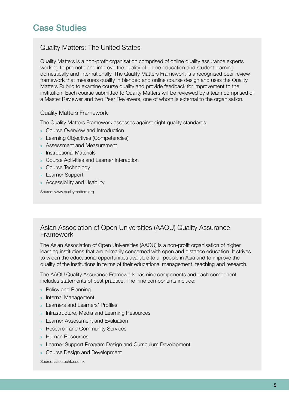#### Quality Matters: The United States

Quality Matters is a non-profit organisation comprised of online quality assurance experts working to promote and improve the quality of online education and student learning domestically and internationally. The Quality Matters Framework is a recognised peer review framework that measures quality in blended and online course design and uses the Quality Matters Rubric to examine course quality and provide feedback for improvement to the institution. Each course submitted to Quality Matters will be reviewed by a team comprised of a Master Reviewer and two Peer Reviewers, one of whom is external to the organisation.

#### Quality Matters Framework

The Quality Matters Framework assesses against eight quality standards:

- » Course Overview and Introduction
- » Learning Objectives (Competencies)
- » Assessment and Measurement
- » Instructional Materials
- » Course Activities and Learner Interaction
- » Course Technology
- » Learner Support
- » Accessibility and Usability

Source: www.qualitymatters.org

#### Asian Association of Open Universities (AAOU) Quality Assurance Framework

The Asian Association of Open Universities (AAOU) is a non-profit organisation of higher learning institutions that are primarily concerned with open and distance education. It strives to widen the educational opportunities available to all people in Asia and to improve the quality of the institutions in terms of their educational management, teaching and research.

The AAOU Quality Assurance Framework has nine components and each component includes statements of best practice. The nine components include:

- » Policy and Planning
- » Internal Management
- » Learners and Learners' Profiles
- » Infrastructure, Media and Learning Resources
- » Learner Assessment and Evaluation
- » Research and Community Services
- » Human Resources
- » Learner Support Program Design and Curriculum Development
- » Course Design and Development

Source: aaou.ouhk.edu.hk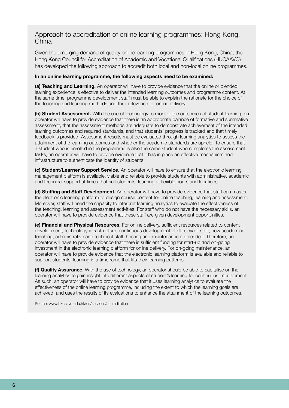#### Approach to accreditation of online learning programmes: Hong Kong, China

Given the emerging demand of quality online learning programmes in Hong Kong, China, the Hong Kong Council for Accreditation of Academic and Vocational Qualifications (HKCAAVQ) has developed the following approach to accredit both local and non-local online programmes.

#### In an online learning programme, the following aspects need to be examined:

(a) Teaching and Learning. An operator will have to provide evidence that the online or blended learning experience is effective to deliver the intended learning outcomes and programme content. At the same time, programme development staff must be able to explain the rationale for the choice of the teaching and learning methods and their relevance for online delivery.

(b) Student Assessment. With the use of technology to monitor the outcomes of student learning, an operator will have to provide evidence that there is an appropriate balance of formative and summative assessment, that the assessment methods are adequate to demonstrate achievement of the intended learning outcomes and required standards, and that students' progress is tracked and that timely feedback is provided. Assessment results must be evaluated through learning analytics to assess the attainment of the learning outcomes and whether the academic standards are upheld. To ensure that a student who is enrolled in the programme is also the same student who completes the assessment tasks, an operator will have to provide evidence that it has in place an effective mechanism and infrastructure to authenticate the identity of students.

(c) Student/Learner Support Service. An operator will have to ensure that the electronic learning management platform is available, viable and reliable to provide students with administrative, academic and technical support at times that suit students' learning at flexible hours and locations.

**(d) Staffing and Staff Development.** An operator will have to provide evidence that staff can master the electronic learning platform to design course content for online teaching, learning and assessment. Moreover, staff will need the capacity to interpret learning analytics to evaluate the effectiveness of the teaching, learning and assessment activities. For staff who do not have the necessary skills, an operator will have to provide evidence that these staff are given development opportunities.

(e) Financial and Physical Resources. For online delivery, sufficient resources related to content development, technology infrastructure, continuous development of all relevant staff, new academic/ teaching, administrative and technical staff, hosting and maintenance are needed. Therefore, an operator will have to provide evidence that there is sufficient funding for start-up and on-going investment in the electronic learning platform for online delivery. For on-going maintenance, an operator will have to provide evidence that the electronic learning platform is available and reliable to support students' learning in a timeframe that fits their learning patterns.

(f) Quality Assurance. With the use of technology, an operator should be able to capitalise on the learning analytics to gain insight into different aspects of student's learning for continuous improvement. As such, an operator will have to provide evidence that it uses learning analytics to evaluate the effectiveness of the online learning programme, including the extent to which the learning goals are achieved, and uses the results of its evaluations to enhance the attainment of the learning outcomes.

Source: www.hkcaavq.edu.hk/en/services/accreditation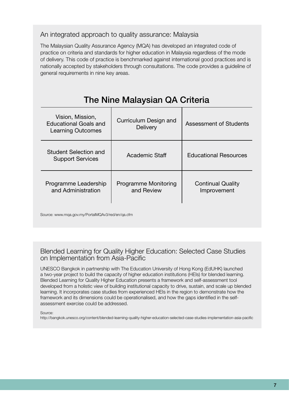#### An integrated approach to quality assurance: Malaysia

The Malaysian Quality Assurance Agency (MQA) has developed an integrated code of practice on criteria and standards for higher education in Malaysia regardless of the mode of delivery. This code of practice is benchmarked against international good practices and is nationally accepted by stakeholders through consultations. The code provides a guideline of general requirements in nine key areas.

### The Nine Malaysian QA Criteria

| Vision, Mission,<br><b>Educational Goals and</b><br><b>Learning Outcomes</b> | Curriculum Design and<br>Delivery  | <b>Assessment of Students</b>           |
|------------------------------------------------------------------------------|------------------------------------|-----------------------------------------|
| Student Selection and<br><b>Support Services</b>                             | <b>Academic Staff</b>              | <b>Educational Resources</b>            |
| Programme Leadership<br>and Administration                                   | Programme Monitoring<br>and Review | <b>Continual Quality</b><br>Improvement |

Source: www.mqa.gov.my/PortalMQAv3/red/en/qa.cfm

#### Blended Learning for Quality Higher Education: Selected Case Studies on Implementation from Asia-Pacific

UNESCO Bangkok in partnership with The Education University of Hong Kong (EdUHK) launched a two-year project to build the capacity of higher education institutions (HEIs) for blended learning. Blended Learning for Quality Higher Education presents a framework and self-assessment tool developed from a holistic view of building institutional capacity to drive, sustain, and scale up blended learning. It incorporates case studies from experienced HEIs in the region to demonstrate how the framework and its dimensions could be operationalised, and how the gaps identified in the selfassessment exercise could be addressed.

Source:

http://bangkok.unesco.org/content/blended-learning-quality-higher-education-selected-case-studies-implementation-asia-pacific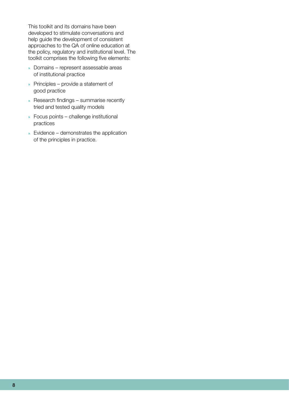This toolkit and its domains have been developed to stimulate conversations and help guide the development of consistent approaches to the QA of online education at the policy, regulatory and institutional level. The toolkit comprises the following five elements:

- » Domains represent assessable areas of institutional practice
- » Principles provide a statement of good practice
- » Research findings summarise recently tried and tested quality models
- » Focus points challenge institutional practices
- » Evidence demonstrates the application of the principles in practice.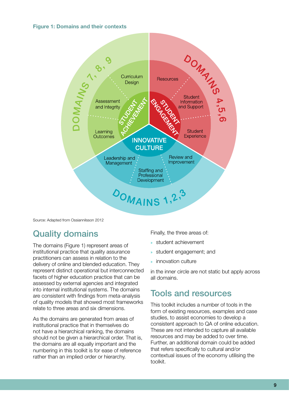#### Figure 1: Domains and their contexts



Source: Adapted from Ossiannilsson 2012

### Quality domains

The domains (Figure 1) represent areas of institutional practice that quality assurance practitioners can assess in relation to the delivery of online and blended education. They represent distinct operational but interconnected facets of higher education practice that can be assessed by external agencies and integrated into internal institutional systems. The domains are consistent with findings from meta-analysis of quality models that showed most frameworks relate to three areas and six dimensions.

As the domains are generated from areas of institutional practice that in themselves do not have a hierarchical ranking, the domains should not be given a hierarchical order. That is, the domains are all equally important and the numbering in this toolkit is for ease of reference rather than an implied order or hierarchy.

Finally, the three areas of:

- » student achievement
- student engagement; and
- » innovation culture

in the inner circle are not static but apply across all domains.

#### Tools and resources

This toolkit includes a number of tools in the form of existing resources, examples and case studies, to assist economies to develop a consistent approach to QA of online education. These are not intended to capture all available resources and may be added to over time. Further, an additional domain could be added that refers specifically to cultural and/or contextual issues of the economy utilising the toolkit.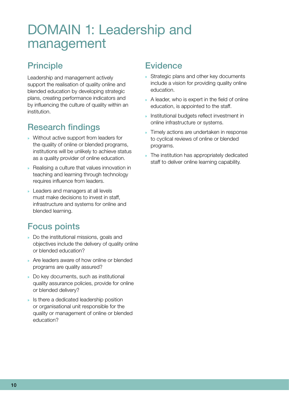## <span id="page-9-0"></span>DOMAIN 1: Leadership and management

### **Principle**

Leadership and management actively support the realisation of quality online and blended education by developing strategic plans, creating performance indicators and by influencing the culture of quality within an institution.

## Research findings

- » Without active support from leaders for the quality of online or blended programs, institutions will be unlikely to achieve status as a quality provider of online education.
- » Realising a culture that values innovation in teaching and learning through technology requires influence from leaders.
- » Leaders and managers at all levels must make decisions to invest in staff, infrastructure and systems for online and blended learning.

### Focus points

- » Do the institutional missions, goals and objectives include the delivery of quality online or blended education?
- » Are leaders aware of how online or blended programs are quality assured?
- » Do key documents, such as institutional quality assurance policies, provide for online or blended delivery?
- » Is there a dedicated leadership position or organisational unit responsible for the quality or management of online or blended education?

#### **Evidence**

- » Strategic plans and other key documents include a vision for providing quality online education.
- » A leader, who is expert in the field of online education, is appointed to the staff.
- » Institutional budgets reflect investment in online infrastructure or systems.
- » Timely actions are undertaken in response to cyclical reviews of online or blended programs.
- » The institution has appropriately dedicated staff to deliver online learning capability.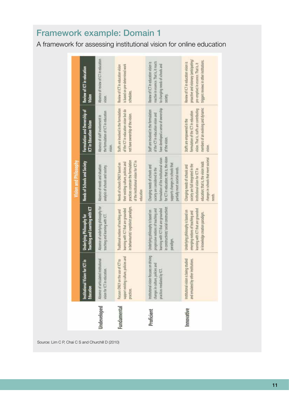## Framework example: Domain 1

A framework for assessing institutional vision for online education

|             |                                                                                                           |                                                                                                                                                                       | <b>Vision and Philosophy</b>                                                                                                                                                                                                 |                                                                                                                                                                 |                                                                                                                                                                   |
|-------------|-----------------------------------------------------------------------------------------------------------|-----------------------------------------------------------------------------------------------------------------------------------------------------------------------|------------------------------------------------------------------------------------------------------------------------------------------------------------------------------------------------------------------------------|-----------------------------------------------------------------------------------------------------------------------------------------------------------------|-------------------------------------------------------------------------------------------------------------------------------------------------------------------|
|             | for ICT in<br>Institutional Vision<br>Education                                                           | Teaching and Learning with ICT<br>Underlying Philosophy for                                                                                                           | Needs of Schools and Society                                                                                                                                                                                                 | Formulation and Ownership of<br>ICT in Education Vision                                                                                                         | Review of ICT in education<br>Vision                                                                                                                              |
| Undeveloped | Absence of articulated institutional<br>vision for ICT in education.                                      | Absence of underlying philosophy for<br>teaching and learning with ICT.                                                                                               | Absence of needs and situation<br>analysis of schools and society.                                                                                                                                                           | the formulation of ICT in education<br>Absence of staff involvement in<br>vision.                                                                               | Absence of review of ICT in education<br>vision.                                                                                                                  |
| Fundamental | support existing culture, policies and<br>Focuses ONLY on the use of ICT to<br>practices.                 | in behaviourist/cognitivist paradigm<br>learning with ICT that are grounded<br>Traditional notions of teaching and                                                    | practices constrain the formulation<br>of the institutional vision for ICT in<br>their existing culture, policies and<br>Needs of schools ONLY based on<br>education                                                         | Staffs are involved in the formulation<br>of the ICT in education vision but do<br>not have ownership of the vision.                                            | is based on pre-determined work<br>Review of ICT in education vision<br>schedules.                                                                                |
| Proficient  | institutional vision focuses on driving<br>changes in culture, policies and<br>practices mediated by ICT. | n constructivist/ social constructivist<br>earning with ICT that are grounded<br>progressive notions of teaching and<br>Underlying philosophy is based on<br>paradigm | for ICT in education; that is, the vision<br>formulation of the institutional vision<br>supports changes in schools that<br>Changing needs of schools and<br>society are considered in the<br>partially meet societal needs. | have developed a sense of ownership<br>Staff are involved in the formulation<br>of the ICT in education vision and<br>of the vision                             | reactive in essence. That is, it reacts<br>Review of ICT in education vision is<br>to changing needs of schools and<br>society.                                   |
| Innovative  | Institutional vision is being studied<br>and emulated by other institutions.                              | learning with ICT that are grounded<br>Underlying philosophy is based on<br>emerging notions of teaching and<br>in knowledge creation paradigm.                       | changes in schools that meet societal<br>education; that is, the vision leads<br>society are full integrated in the<br>Changing needs of schools and<br>institutional vision for ICT in<br>needs.                            | members of an evolving and dynamic<br>vision. That is, staffs are contributing<br>formulation of the ICT in education<br>Staffs are empowered in the<br>vision. | proactive and visionary (anticipating/<br>triggers reviews in other institutions.<br>Review of ICT in education vision is<br>pre-emptive) in essence. That is, it |
|             |                                                                                                           |                                                                                                                                                                       |                                                                                                                                                                                                                              |                                                                                                                                                                 |                                                                                                                                                                   |

Source: Lim C P, Chai C S and Churchill D (2010)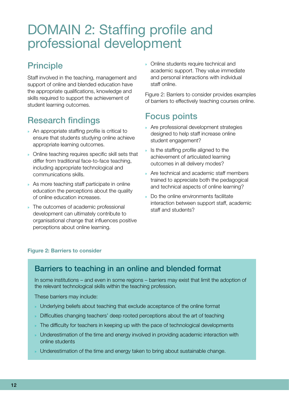## <span id="page-11-0"></span>DOMAIN 2: Staffing profile and professional development

### Principle

Staff involved in the teaching, management and support of online and blended education have the appropriate qualifications, knowledge and skills required to support the achievement of student learning outcomes.

### Research findings

- » An appropriate staffing profile is critical to ensure that students studying online achieve appropriate learning outcomes.
- » Online teaching requires specific skill sets that differ from traditional face-to-face teaching, including appropriate technological and communications skills.
- » As more teaching staff participate in online education the perceptions about the quality of online education increases.
- » The outcomes of academic professional development can ultimately contribute to organisational change that influences positive perceptions about online learning.

» Online students require technical and academic support. They value immediate and personal interactions with individual staff online.

Figure 2: Barriers to consider provides examples of barriers to effectively teaching courses online.

#### Focus points

- » Are professional development strategies designed to help staff increase online student engagement?
- Is the staffing profile aligned to the achievement of articulated learning outcomes in all delivery modes?
- » Are technical and academic staff members trained to appreciate both the pedagogical and technical aspects of online learning?
- » Do the online environments facilitate interaction between support staff, academic staff and students?

#### Figure 2: Barriers to consider

#### Barriers to teaching in an online and blended format

In some institutions – and even in some regions – barriers may exist that limit the adoption of the relevant technological skills within the teaching profession.

These barriers may include:

- » Underlying beliefs about teaching that exclude acceptance of the online format
- » Difficulties changing teachers' deep rooted perceptions about the art of teaching
- » The difficulty for teachers in keeping up with the pace of technological developments
- » Underestimation of the time and energy involved in providing academic interaction with online students
- » Underestimation of the time and energy taken to bring about sustainable change.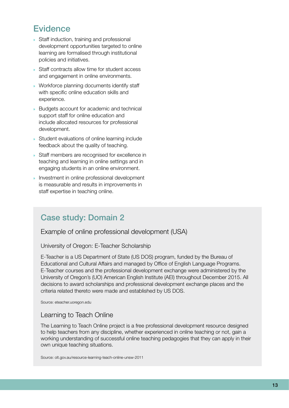#### **Evidence**

- » Staff induction, training and professional development opportunities targeted to online learning are formalised through institutional policies and initiatives.
- » Staff contracts allow time for student access and engagement in online environments.
- » Workforce planning documents identify staff with specific online education skills and experience.
- » Budgets account for academic and technical support staff for online education and include allocated resources for professional development.
- » Student evaluations of online learning include feedback about the quality of teaching.
- » Staff members are recognised for excellence in teaching and learning in online settings and in engaging students in an online environment.
- » Investment in online professional development is measurable and results in improvements in staff expertise in teaching online.

#### Case study: Domain 2

Example of online professional development (USA)

University of Oregon: E-Teacher Scholarship

E-Teacher is a US Department of State (US DOS) program, funded by the Bureau of Educational and Cultural Affairs and managed by Office of English Language Programs. E-Teacher courses and the professional development exchange were administered by the University of Oregon's (UO) American English Institute (AEI) throughout December 2015. All decisions to award scholarships and professional development exchange places and the criteria related thereto were made and established by US DOS.

Source: eteacher.uoregon.edu

#### Learning to Teach Online

The Learning to Teach Online project is a free professional development resource designed to help teachers from any discipline, whether experienced in online teaching or not, gain a working understanding of successful online teaching pedagogies that they can apply in their own unique teaching situations.

Source: olt.gov.au/resource-learning-teach-online-unsw-2011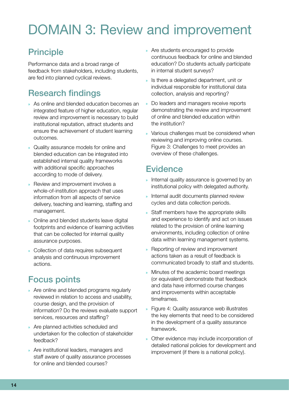## <span id="page-13-0"></span>DOMAIN 3: Review and improvement

## **Principle**

Performance data and a broad range of feedback from stakeholders, including students, are fed into planned cyclical reviews.

## Research findings

- » As online and blended education becomes an integrated feature of higher education, regular review and improvement is necessary to build institutional reputation, attract students and ensure the achievement of student learning outcomes.
- » Quality assurance models for online and blended education can be integrated into established internal quality frameworks with additional specific approaches according to mode of delivery.
- » Review and improvement involves a whole-of-institution approach that uses information from all aspects of service delivery, teaching and learning, staffing and management.
- » Online and blended students leave digital footprints and evidence of learning activities that can be collected for internal quality assurance purposes.
- » Collection of data requires subsequent analysis and continuous improvement actions.

### Focus points

- » Are online and blended programs regularly reviewed in relation to access and usability, course design, and the provision of information? Do the reviews evaluate support services, resources and staffing?
- » Are planned activities scheduled and undertaken for the collection of stakeholder feedback?
- » Are institutional leaders, managers and staff aware of quality assurance processes for online and blended courses?
- » Are students encouraged to provide continuous feedback for online and blended education? Do students actually participate in internal student surveys?
- » Is there a delegated department, unit or individual responsible for institutional data collection, analysis and reporting?
- » Do leaders and managers receive reports demonstrating the review and improvement of online and blended education within the institution?
- » Various challenges must be considered when reviewing and improving online courses. Figure 3: Challenges to meet provides an overview of these challenges.

#### **Evidence**

- » Internal quality assurance is governed by an institutional policy with delegated authority.
- » Internal audit documents planned review cycles and data collection periods.
- » Staff members have the appropriate skills and experience to identify and act on issues related to the provision of online learning environments, including collection of online data within learning management systems.
- » Reporting of review and improvement actions taken as a result of feedback is communicated broadly to staff and students.
- » Minutes of the academic board meetings (or equivalent) demonstrate that feedback and data have informed course changes and improvements within acceptable timeframes.
- » Figure 4: Quality assurance web illustrates the key elements that need to be considered in the development of a quality assurance framework.
- » Other evidence may include incorporation of detailed national policies for development and improvement (if there is a national policy).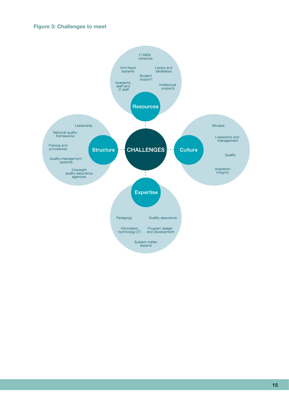#### Figure 3: Challenges to meet

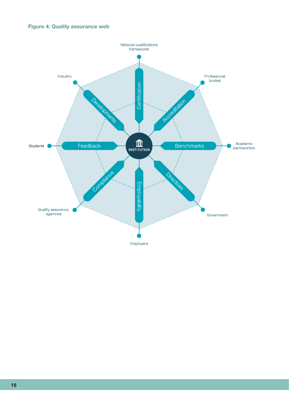#### Figure 4: Quality assurance web

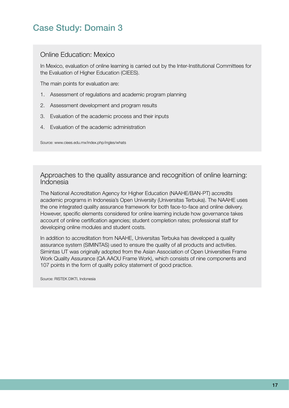### Case Study: Domain 3

#### Online Education: Mexico

In Mexico, evaluation of online learning is carried out by the Inter-Institutional Committees for the Evaluation of Higher Education (CIEES).

The main points for evaluation are:

- 1. Assessment of regulations and academic program planning
- 2. Assessment development and program results
- 3. Evaluation of the academic process and their inputs
- 4. Evaluation of the academic administration

Source: www.ciees.edu.mx/index.php/ingles/whats

Approaches to the quality assurance and recognition of online learning: Indonesia

The National Accreditation Agency for Higher Education (NAAHE/BAN-PT) accredits academic programs in Indonesia's Open University (Universitas Terbuka). The NAAHE uses the one integrated quality assurance framework for both face-to-face and online delivery. However, specific elements considered for online learning include how governance takes account of online certification agencies; student completion rates; professional staff for developing online modules and student costs.

In addition to accreditation from NAAHE, Universitas Terbuka has developed a quality assurance system (SIMINTAS) used to ensure the quality of all products and activities. Simintas UT was originally adopted from the Asian Association of Open Universities Frame Work Quality Assurance (QA AAOU Frame Work), which consists of nine components and 107 points in the form of quality policy statement of good practice.

Source: RISTEK DIKTI, Indonesia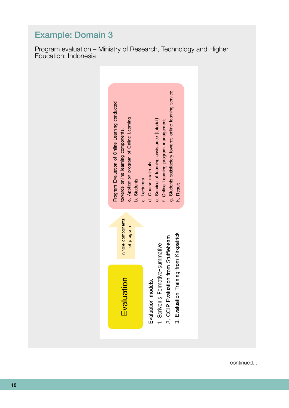

## Example: Domain 3

Program evaluation – Ministry of Research, Technology and Higher Education: Indonesia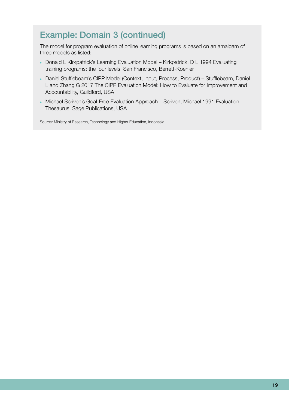### Example: Domain 3 (continued)

The model for program evaluation of online learning programs is based on an amalgam of three models as listed:

- » Donald L Kirkpatrick's Learning Evaluation Model Kirkpatrick, D L 1994 Evaluating training programs: the four levels, San Francisco, Berrett-Koehler
- » Daniel Stufflebeam's CIPP Model (Context, Input, Process, Product) Stufflebeam, Daniel L and Zhang G 2017 The CIPP Evaluation Model: How to Evaluate for Improvement and Accountability, Guildford, USA
- » Michael Scriven's Goal-Free Evaluation Approach Scriven, Michael 1991 Evaluation Thesaurus, Sage Publications, USA

Source: Ministry of Research, Technology and Higher Education, Indonesia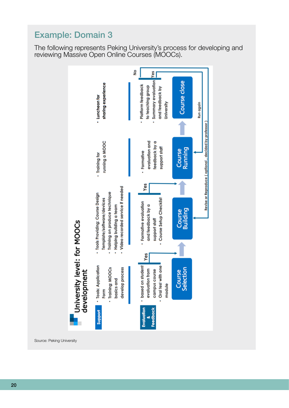### Example: Domain 3

The following represents Peking University's process for developing and reviewing Massive Open Online Courses (MOOCs).



Source: Peking University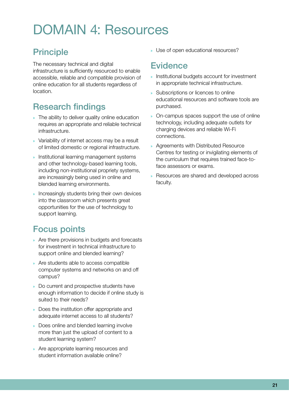## <span id="page-20-0"></span>DOMAIN 4: Resources

## Principle

The necessary technical and digital infrastructure is sufficiently resourced to enable accessible, reliable and compatible provision of online education for all students regardless of location.

## Research findings

- » The ability to deliver quality online education requires an appropriate and reliable technical infrastructure.
- » Variability of internet access may be a result of limited domestic or regional infrastructure.
- » Institutional learning management systems and other technology-based learning tools, including non-institutional propriety systems, are increasingly being used in online and blended learning environments.
- » Increasingly students bring their own devices into the classroom which presents great opportunities for the use of technology to support learning.

## Focus points

- » Are there provisions in budgets and forecasts for investment in technical infrastructure to support online and blended learning?
- » Are students able to access compatible computer systems and networks on and off campus?
- » Do current and prospective students have enough information to decide if online study is suited to their needs?
- » Does the institution offer appropriate and adequate internet access to all students?
- » Does online and blended learning involve more than just the upload of content to a student learning system?
- » Are appropriate learning resources and student information available online?

» Use of open educational resources?

#### **Evidence**

- » Institutional budgets account for investment in appropriate technical infrastructure.
- » Subscriptions or licences to online educational resources and software tools are purchased.
- » On-campus spaces support the use of online technology, including adequate outlets for charging devices and reliable Wi-Fi connections.
- » Agreements with Distributed Resource Centres for testing or invigilating elements of the curriculum that requires trained face-toface assessors or exams.
- » Resources are shared and developed across faculty.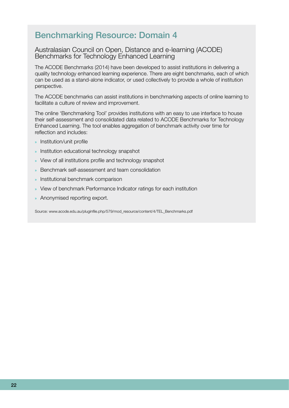#### Benchmarking Resource: Domain 4

#### Australasian Council on Open, Distance and e-learning (ACODE) Benchmarks for Technology Enhanced Learning

The ACODE Benchmarks (2014) have been developed to assist institutions in delivering a quality technology enhanced learning experience. There are eight benchmarks, each of which can be used as a stand-alone indicator, or used collectively to provide a whole of institution perspective.

The ACODE benchmarks can assist institutions in benchmarking aspects of online learning to facilitate a culture of review and improvement.

The online 'Benchmarking Tool' provides institutions with an easy to use interface to house their self-assessment and consolidated data related to ACODE Benchmarks for Technology Enhanced Learning. The tool enables aggregation of benchmark activity over time for reflection and includes:

- » Institution/unit profile
- » Institution educational technology snapshot
- » View of all institutions profile and technology snapshot
- » Benchmark self-assessment and team consolidation
- » Institutional benchmark comparison
- » View of benchmark Performance Indicator ratings for each institution
- » Anonymised reporting export.

Source: www.acode.edu.au/pluginfile.php/579/mod\_resource/content/4/TEL\_Benchmarks.pdf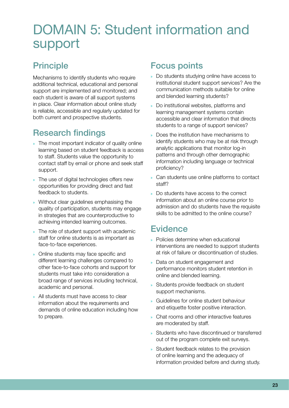## <span id="page-22-0"></span>DOMAIN 5: Student information and support

### **Principle**

Mechanisms to identify students who require additional technical, educational and personal support are implemented and monitored; and each student is aware of all support systems in place. Clear information about online study is reliable, accessible and regularly updated for both current and prospective students.

## Research findings

- » The most important indicator of quality online learning based on student feedback is access to staff. Students value the opportunity to contact staff by email or phone and seek staff support.
- » The use of digital technologies offers new opportunities for providing direct and fast feedback to students.
- » Without clear guidelines emphasising the quality of participation, students may engage in strategies that are counterproductive to achieving intended learning outcomes.
- » The role of student support with academic staff for online students is as important as face-to-face experiences.
- » Online students may face specific and different learning challenges compared to other face-to-face cohorts and support for students must take into consideration a broad range of services including technical, academic and personal.
- » All students must have access to clear information about the requirements and demands of online education including how to prepare.

#### Focus points

- » Do students studying online have access to institutional student support services? Are the communication methods suitable for online and blended learning students?
- » Do institutional websites, platforms and learning management systems contain accessible and clear information that directs students to a range of support services?
- » Does the institution have mechanisms to identify students who may be at risk through analytic applications that monitor log-in patterns and through other demographic information including language or technical proficiency?
- » Can students use online platforms to contact staff?
- » Do students have access to the correct information about an online course prior to admission and do students have the requisite skills to be admitted to the online course?

#### **Evidence**

- » Policies determine when educational interventions are needed to support students at risk of failure or discontinuation of studies.
- » Data on student engagement and performance monitors student retention in online and blended learning.
- » Students provide feedback on student support mechanisms.
- » Guidelines for online student behaviour and etiquette foster positive interaction.
- » Chat rooms and other interactive features are moderated by staff.
- » Students who have discontinued or transferred out of the program complete exit surveys.
- » Student feedback relates to the provision of online learning and the adequacy of information provided before and during study.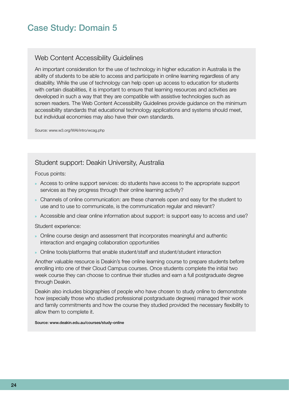#### Case Study: Domain 5

#### Web Content Accessibility Guidelines

An important consideration for the use of technology in higher education in Australia is the ability of students to be able to access and participate in online learning regardless of any disability. While the use of technology can help open up access to education for students with certain disabilities, it is important to ensure that learning resources and activities are developed in such a way that they are compatible with assistive technologies such as screen readers. The Web Content Accessibility Guidelines provide guidance on the minimum accessibility standards that educational technology applications and systems should meet, but individual economies may also have their own standards.

Source: www.w3.org/WAI/intro/wcag.php

#### Student support: Deakin University, Australia

Focus points:

- » Access to online support services: do students have access to the appropriate support services as they progress through their online learning activity?
- » Channels of online communication: are these channels open and easy for the student to use and to use to communicate, is the communication regular and relevant?
- » Accessible and clear online information about support: is support easy to access and use?

Student experience:

- » Online course design and assessment that incorporates meaningful and authentic interaction and engaging collaboration opportunities
- » Online tools/platforms that enable student/staff and student/student interaction

Another valuable resource is Deakin's free online learning course to prepare students before enrolling into one of their Cloud Campus courses. Once students complete the initial two week course they can choose to continue their studies and earn a full postgraduate degree through Deakin.

Deakin also includes biographies of people who have chosen to study online to demonstrate how (especially those who studied professional postgraduate degrees) managed their work and family commitments and how the course they studied provided the necessary flexibility to allow them to complete it.

Source: www.deakin.edu.au/courses/study-online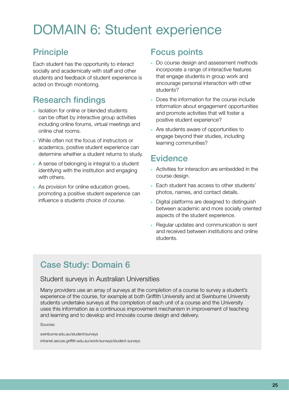## <span id="page-24-0"></span>DOMAIN 6: Student experience

### Principle

Each student has the opportunity to interact socially and academically with staff and other students and feedback of student experience is acted on through monitoring.

## Research findings

- » Isolation for online or blended students can be offset by interactive group activities including online forums, virtual meetings and online chat rooms.
- » While often not the focus of instructors or academics, positive student experience can determine whether a student returns to study.
- » A sense of belonging is integral to a student identifying with the institution and engaging with others.
- » As provision for online education grows, promoting a positive student experience can influence a students choice of course.

### Focus points

- » Do course design and assessment methods incorporate a range of interactive features that engage students in group work and encourage personal interaction with other students?
- » Does the information for the course include information about engagement opportunities and promote activities that will foster a positive student experience?
- » Are students aware of opportunities to engage beyond their studies, including learning communities?

#### **Evidence**

- » Activities for interaction are embedded in the course design.
- » Each student has access to other students' photos, names, and contact details.
- » Digital platforms are designed to distinguish between academic and more socially oriented aspects of the student experience.
- » Regular updates and communication is sent and received between institutions and online students.

## Case Study: Domain 6

#### Student surveys in Australian Universities

Many providers use an array of surveys at the completion of a course to survey a student's experience of the course, for example at both Griffith University and at Swinburne University students undertake surveys at the completion of each unit of a course and the University uses this information as a continuous improvement mechanism in improvement of teaching and learning and to develop and innovate course design and delivery.

Sources:

swinburne.edu.au/student/surveys intranet.secure.griffith.edu.au/work/surveys/student-surveys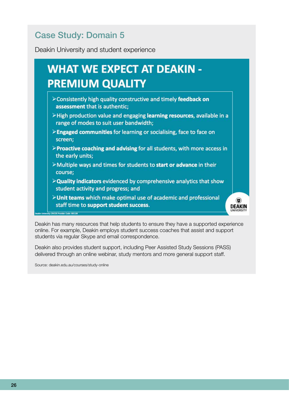## Case Study: Domain 5

Deakin University and student experience

#### What we expect at Deakin-Premium Quality: » Consistently high quality constructive and timely feedback on assessment that is authentic  $\blacksquare$  PREMILIM OHALITY resources, available in a range of modes to modes to modes to suit user bandwidth

- $\triangleright$  Consistently high quality constructive and timely feedback on assessment that is authentic:
- $\geq$  High production value and engaging learning resources, available in a range of modes to suit user bandwidth;
- » Quality indicators evidenced by comprehensive analytics that show student activity and programs in the sense of the sense of the sense of the sense of the sense of the sense of the sense of the sense of the sense of the sense of the sense of the sense of the sense of the sense of the sense of the sense of th
- $\mathbb{U}$  Unit teams which make optimal use of academic and professional staff time to support time to support time to support time to support time to support time to support the support of  $\mathbb{U}$  $\blacktriangleright$   $\blacktriangleright$   $\blacktriangleright$   $\blacktriangleright$   $\blacktriangleright$   $\blacktriangleright$   $\blacktriangleright$   $\blacktriangleright$   $\blacktriangleright$   $\blacktriangleright$   $\blacktriangleright$   $\blacktriangleright$   $\blacktriangleright$   $\blacktriangleright$   $\blacktriangleright$   $\dashv$   $\blacktriangleright$   $\dashv$   $\dashv$   $\dashv$   $\dashv$   $\dashv$   $\dashv$   $\dashv$   $\dashv$   $\dashv$   $\dashv$   $\dashv$   $\dashv$   $\dashv$   $\dashv$   $\dash$ 
	- >Multiple ways and times for students to start or advance in their course;
	- $\triangleright$  Quality indicators evidenced by comprehensive analytics that show student activity and progress; and
	- >Unit teams which make optimal use of academic and professional staff time to support student success.

 $\circledcirc$ 

**DEAKIN** 

Deakin has many resources that help students to ensure they have a supported experience online. For example, Deakin employs student success coaches that assist and support students via regular Skype and email correspondence.

Deakin also provides student support, including Peer Assisted Study Sessions (PASS) delivered through an online webinar, study mentors and more general support staff.

Source: deakin.edu.au/courses/study-online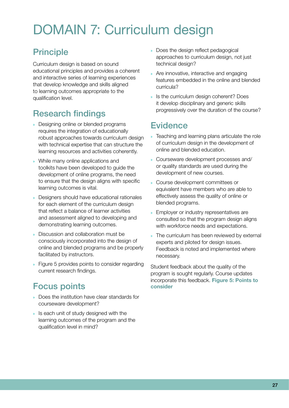## <span id="page-26-0"></span>DOMAIN 7: Curriculum design

## Principle

Curriculum design is based on sound educational principles and provides a coherent and interactive series of learning experiences that develop knowledge and skills aligned to learning outcomes appropriate to the qualification level.

## Research findings

- » Designing online or blended programs requires the integration of educationally robust approaches towards curriculum design with technical expertise that can structure the learning resources and activities coherently.
- » While many online applications and toolkits have been developed to guide the development of online programs, the need to ensure that the design aligns with specific learning outcomes is vital.
- » Designers should have educational rationales for each element of the curriculum design that reflect a balance of learner activities and assessment aligned to developing and demonstrating learning outcomes.
- » Discussion and collaboration must be consciously incorporated into the design of online and blended programs and be properly facilitated by instructors.
- » Figure 5 provides points to consider regarding current research findings.

## Focus points

- » Does the institution have clear standards for courseware development?
- » Is each unit of study designed with the learning outcomes of the program and the qualification level in mind?
- » Does the design reflect pedagogical approaches to curriculum design, not just technical design?
- » Are innovative, interactive and engaging features embedded in the online and blended curricula?
- » Is the curriculum design coherent? Does it develop disciplinary and generic skills progressively over the duration of the course?

### **Evidence**

- » Teaching and learning plans articulate the role of curriculum design in the development of online and blended education.
- » Courseware development processes and/ or quality standards are used during the development of new courses.
- » Course development committees or equivalent have members who are able to effectively assess the quality of online or blended programs.
- » Employer or industry representatives are consulted so that the program design aligns with workforce needs and expectations.
- » The curriculum has been reviewed by external experts and piloted for design issues. Feedback is noted and implemented where necessary.

Student feedback about the quality of the program is sought regularly. Course updates incorporate this feedback. Figure 5: Points to consider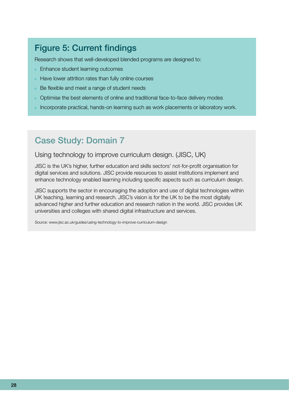#### Figure 5: Current findings

Research shows that well-developed blended programs are designed to:

- » Enhance student learning outcomes
- » Have lower attrition rates than fully online courses
- » Be flexible and meet a range of student needs
- » Optimise the best elements of online and traditional face-to-face delivery modes
- » Incorporate practical, hands-on learning such as work placements or laboratory work.

#### Case Study: Domain 7

#### Using technology to improve curriculum design. (JISC, UK)

JISC is the UK's higher, further education and skills sectors' not-for-profit organisation for digital services and solutions. JISC provide resources to assist institutions implement and enhance technology enabled learning including specific aspects such as curriculum design.

JISC supports the sector in encouraging the adoption and use of digital technologies within UK teaching, learning and research. JISC's vision is for the UK to be the most digitally advanced higher and further education and research nation in the world. JISC provides UK universities and colleges with shared digital infrastructure and services.

Source: www.jisc.ac.uk/guides/using-technology-to-improve-curriculum-design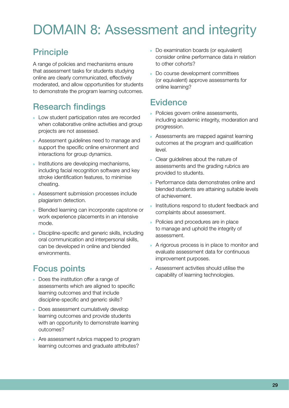## <span id="page-28-0"></span>DOMAIN 8: Assessment and integrity

## Principle

A range of policies and mechanisms ensure that assessment tasks for students studying online are clearly communicated, effectively moderated, and allow opportunities for students to demonstrate the program learning outcomes.

## Research findings

- » Low student participation rates are recorded when collaborative online activities and group projects are not assessed.
- » Assessment guidelines need to manage and support the specific online environment and interactions for group dynamics.
- » Institutions are developing mechanisms, including facial recognition software and key stroke identification features, to minimise cheating.
- » Assessment submission processes include plagiarism detection.
- » Blended learning can incorporate capstone or work experience placements in an intensive mode.
- » Discipline-specific and generic skills, including oral communication and interpersonal skills, can be developed in online and blended environments.

## Focus points

- » Does the institution offer a range of assessments which are aligned to specific learning outcomes and that include discipline-specific and generic skills?
- » Does assessment cumulatively develop learning outcomes and provide students with an opportunity to demonstrate learning outcomes?
- » Are assessment rubrics mapped to program learning outcomes and graduate attributes?
- » Do examination boards (or equivalent) consider online performance data in relation to other cohorts?
- » Do course development committees (or equivalent) approve assessments for online learning?

#### **Evidence**

- » Policies govern online assessments, including academic integrity, moderation and progression.
- » Assessments are mapped against learning outcomes at the program and qualification level.
- » Clear guidelines about the nature of assessments and the grading rubrics are provided to students.
- » Performance data demonstrates online and blended students are attaining suitable levels of achievement.
- » Institutions respond to student feedback and complaints about assessment.
- » Policies and procedures are in place to manage and uphold the integrity of assessment.
- » A rigorous process is in place to monitor and evaluate assessment data for continuous improvement purposes.
- » Assessment activities should utilise the capability of learning technologies.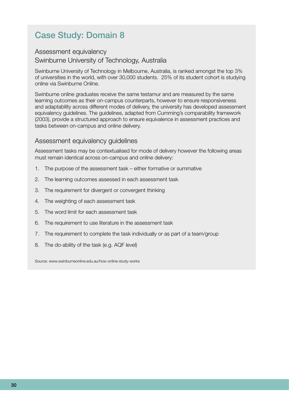### Case Study: Domain 8

#### Assessment equivalency Swinburne University of Technology, Australia

Swinburne University of Technology in Melbourne, Australia, is ranked amongst the top 3% of universities in the world, with over 30,000 students. 25% of its student cohort is studying online via Swinburne Online.

Swinburne online graduates receive the same testamur and are measured by the same learning outcomes as their on-campus counterparts, however to ensure responsiveness and adaptability across different modes of delivery, the university has developed assessment equivalency guidelines. The guidelines, adapted from Cumming's comparability framework (2003), provide a structured approach to ensure equivalence in assessment practices and tasks between on-campus and online delivery.

#### Assessment equivalency guidelines

Assessment tasks may be contextualised for mode of delivery however the following areas must remain identical across on-campus and online delivery:

- 1. The purpose of the assessment task either formative or summative
- 2. The learning outcomes assessed in each assessment task
- 3. The requirement for divergent or convergent thinking
- 4. The weighting of each assessment task
- 5. The word limit for each assessment task
- 6. The requirement to use literature in the assessment task
- 7. The requirement to complete the task individually or as part of a team/group
- 8. The do-ability of the task (e.g. AQF level)

Source: www.swinburneonline.edu.au/how-online-study-works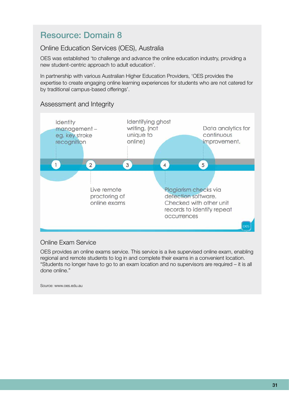#### Resource: Domain 8

#### Online Education Services (OES), Australia

OES was established 'to challenge and advance the online education industry, providing a new student-centric approach to adult education'.

In partnership with various Australian Higher Education Providers, 'OES provides the expertise to create engaging online learning experiences for students who are not catered for by traditional campus-based offerings'.



#### Assessment and Integrity

#### Online Exam Service

OES provides an online exams service. This service is a live supervised online exam, enabling regional and remote students to log in and complete their exams in a convenient location. "Students no longer have to go to an exam location and no supervisors are required – it is all done online."

Source: www.oes.edu.au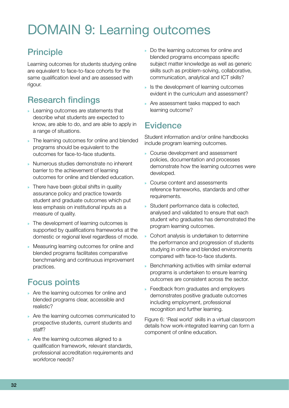## <span id="page-31-0"></span>DOMAIN 9: Learning outcomes

## Principle

Learning outcomes for students studying online are equivalent to face-to-face cohorts for the same qualification level and are assessed with rigour.

### Research findings

- » Learning outcomes are statements that describe what students are expected to know, are able to do, and are able to apply in a range of situations.
- » The learning outcomes for online and blended programs should be equivalent to the outcomes for face-to-face students.
- » Numerous studies demonstrate no inherent barrier to the achievement of learning outcomes for online and blended education.
- » There have been global shifts in quality assurance policy and practice towards student and graduate outcomes which put less emphasis on institutional inputs as a measure of quality.
- » The development of learning outcomes is supported by qualifications frameworks at the domestic or regional level regardless of mode.
- » Measuring learning outcomes for online and blended programs facilitates comparative benchmarking and continuous improvement practices.

## Focus points

- » Are the learning outcomes for online and blended programs clear, accessible and realistic?
- » Are the learning outcomes communicated to prospective students, current students and staff?
- » Are the learning outcomes aligned to a qualification framework, relevant standards, professional accreditation requirements and workforce needs?
- » Do the learning outcomes for online and blended programs encompass specific subject matter knowledge as well as generic skills such as problem-solving, collaborative, communication, analytical and ICT skills?
- Is the development of learning outcomes evident in the curriculum and assessment?
- » Are assessment tasks mapped to each learning outcome?

#### **Evidence**

Student information and/or online handbooks include program learning outcomes.

- » Course development and assessment policies, documentation and processes demonstrate how the learning outcomes were developed.
- » Course content and assessments reference frameworks, standards and other requirements.
- Student performance data is collected, analysed and validated to ensure that each student who graduates has demonstrated the program learning outcomes.
- » Cohort analysis is undertaken to determine the performance and progression of students studying in online and blended environments compared with face-to-face students.
- Benchmarking activities with similar external programs is undertaken to ensure learning outcomes are consistent across the sector.
- » Feedback from graduates and employers demonstrates positive graduate outcomes including employment, professional recognition and further learning.

Figure 6: 'Real world' skills in a virtual classroom details how work-integrated learning can form a component of online education.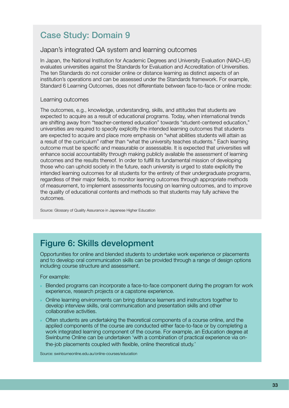### Case Study: Domain 9

#### Japan's integrated QA system and learning outcomes

In Japan, the National Institution for Academic Degrees and University Evaluation (NIAD–UE) evaluates universities against the Standards for Evaluation and Accreditation of Universities. The ten Standards do not consider online or distance learning as distinct aspects of an institution's operations and can be assessed under the Standards framework. For example, Standard 6 Learning Outcomes, does not differentiate between face-to-face or online mode:

#### Learning outcomes

The outcomes, e.g., knowledge, understanding, skills, and attitudes that students are expected to acquire as a result of educational programs. Today, when international trends are shifting away from "teacher-centered education" towards "student-centered education," universities are required to specify explicitly the intended learning outcomes that students are expected to acquire and place more emphasis on "what abilities students will attain as a result of the curriculum" rather than "what the university teaches students." Each learning outcome must be specific and measurable or assessable. It is expected that universities will enhance social accountability through making publicly available the assessment of learning outcomes and the results thereof. In order to fulfill its fundamental mission of developing those who can uphold society in the future, each university is urged to state explicitly the intended learning outcomes for all students for the entirety of their undergraduate programs, regardless of their major fields, to monitor learning outcomes through appropriate methods of measurement, to implement assessments focusing on learning outcomes, and to improve the quality of educational contents and methods so that students may fully achieve the outcomes.

Source: Glossary of Quality Assurance in Japanese Higher Education

## Figure 6: Skills development

Opportunities for online and blended students to undertake work experience or placements and to develop oral communication skills can be provided through a range of design options including course structure and assessment.

For example:

- » Blended programs can incorporate a face-to-face component during the program for work experience, research projects or a capstone experience.
- » Online learning environments can bring distance learners and instructors together to develop interview skills, oral communication and presentation skills and other collaborative activities.
- » Often students are undertaking the theoretical components of a course online, and the applied components of the course are conducted either face-to-face or by completing a work integrated learning component of the course. For example, an Education degree at Swinburne Online can be undertaken 'with a combination of practical experience via onthe-job placements coupled with flexible, online theoretical study.'

Source: swinburneonline.edu.au/online-courses/education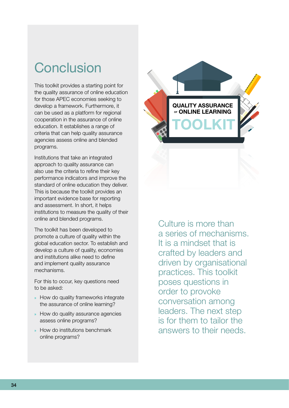## <span id="page-33-0"></span>Conclusion

This toolkit provides a starting point for the quality assurance of online education for those APEC economies seeking to develop a framework. Furthermore, it can be used as a platform for regional cooperation in the assurance of online education. It establishes a range of criteria that can help quality assurance agencies assess online and blended programs.

Institutions that take an integrated approach to quality assurance can also use the criteria to refine their key performance indicators and improve the standard of online education they deliver. This is because the toolkit provides an important evidence base for reporting and assessment. In short, it helps institutions to measure the quality of their online and blended programs.

The toolkit has been developed to promote a culture of quality within the global education sector. To establish and develop a culture of quality, economies and institutions alike need to define and implement quality assurance mechanisms.

For this to occur, key questions need to be asked:

- » How do quality frameworks integrate the assurance of online learning?
- » How do quality assurance agencies assess online programs?
- » How do institutions benchmark online programs?



Culture is more than a series of mechanisms. It is a mindset that is crafted by leaders and driven by organisational practices. This toolkit poses questions in order to provoke conversation among leaders. The next step is for them to tailor the answers to their needs.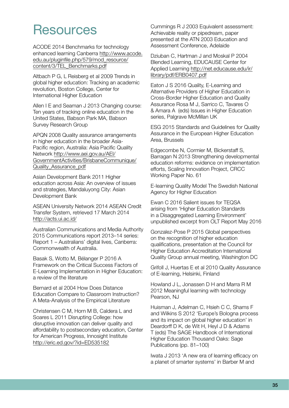## <span id="page-34-0"></span>**Resources**

ACODE 2014 Benchmarks for technology enhanced learning Canberra http://www.acode. edu.au/pluginfile.php/579/mod\_resource/ content/3/TEL\_Benchmarks.pdf

Altbach P G, L Reisberg et al 2009 Trends in global higher education: Tracking an academic revolution, Boston College, Center for International Higher Education

Allen I E and Seaman J 2013 Changing course: Ten years of tracking online education in the United States, Babson Park MA, Babson Survey Research Group

APQN 2008 Quality assurance arrangements in higher education in the broader Asia-Pacific region, Australia: Asia Pacific Quality Network http://www.aei.gov.au/AEI/ GovernmentActivities/BrisbaneCommunique/ Quality\_Assurance\_pdf

Asian Development Bank 2011 Higher education across Asia: An overview of issues and strategies, Mandaluyong City: Asian Development Bank

ASEAN University Network 2014 ASEAN Credit Transfer System, retrieved 17 March 2014 http://acts.ui.ac.id/

Australian Communications and Media Authority 2015 Communications report 2013–14 series: Report 1 – Australians' digital lives, Canberra: Commonwealth of Australia.

Basak S, Wotto M, Bélanger P 2016 A Framework on the Critical Success Factors of E-Learning Implementation in Higher Education: a review of the literature

Bernard et al 2004 How Does Distance Education Compare to Classroom Instruction? A Meta-Analysis of the Empirical Literature

Christensen C M, Horn M B, Caldera L and Soares L 2011 Disrupting College: how disruptive innovation can deliver quality and affordability to postsecondary education, Center for American Progress, Innosight Institute http://eric.ed.gov/?id=ED535182

Cummings R J 2003 Equivalent assessment: Achievable reality or pipedream, paper presented at the ATN 2003 Education and Assessment Conference, Adelaide

Dziuban C, Hartman J and Moskal P 2004 Blended Learning, EDUCAUSE Center for Applied Learning http://net.educause.edu/ir/ library/pdf/ERB0407.pdf

Eaton J S 2016 Quality, E-Learning and Alternative Providers of Higher Education in Cross-Border Higher Education and Quality Assurance Rosa M J, Sarrico C, Tavares O & Amara A (eds) Issues in Higher Education series, Palgrave McMillan UK

ESG 2015 Standards and Guidelines for Quality Assurance in the European Higher Education Area, Brussels

Edgecombe N, Cormier M, Bickerstaff S, Barragan N 2013 Strengthening developmental education reforms: evidence on implementation efforts, Scaling Innovation Project, CRCC Working Paper No. 61

E-learning Quality Model The Swedish National Agency for Higher Education

Ewan C 2016 Salient issues for TEQSA arising from 'Higher Education Standards in a Disaggregated Learning Environment' unpublished excerpt from OLT Report May 2016

Gonzalez-Pose P 2015 Global perspectives on the recognition of higher education qualifications, presentation at the Council for Higher Education Accreditation International Quality Group annual meeting, Washington DC

Grifoll J, Huertas E et al 2010 Quality Assurance of E-learning, Helsinki, Finland

Howland J L, Jonassen D H and Marra R M 2012 Meaningful learning with technology Pearson, NJ

Huisman J, Adelman C, Hsieh C C, Shams F and Wilkins S 2012 'Europe's Bologna process and its impact on global higher education' in Deardorff D K, de Wit H, Heyl J D & Adams T (eds) The SAGE Handbook of International Higher Education Thousand Oaks: Sage Publications (pp. 81–100)

Iwata J 2013 'A new era of learning efficacy on a planet of smarter systems' in Barber M and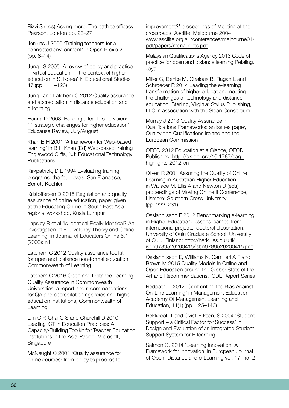Rizvi S (eds) Asking more: The path to efficacy Pearson, London pp. 23–27

Jenkins J 2000 'Training teachers for a connected environment' in Open Praxis 2 (pp. 8–14)

Jung I S 2005 'A review of policy and practice in virtual education: In the context of higher education in S. Korea' in Educational Studies 47 (pp. 111–123)

Jung I and Latchem C 2012 Quality assurance and accreditation in distance education and e-learning

Hanna D 2003 'Building a leadership vision: 11 strategic challenges for higher education' Educause Review, July/August

Khan B H 2001 'A framework for Web-based learning' in B H Khan (Ed) Web-based training Englewood Cliffs, NJ: Educational Technology **Publications** 

Kirkpatrick, D L 1994 Evaluating training programs: the four levels, San Francisco, Berrett-Koehler

Kristoffersen D 2015 Regulation and quality assurance of online education, paper given at the Educating Online in South East Asia regional workshop, Kuala Lumpur

Lapsley R et al 'Is Identical Really Identical? An Investigation of Equivalency Theory and Online Learning' in Journal of Educators Online 5.1 (2008): n1

Latchem C 2012 Quality assurance toolkit for open and distance non-formal education, Commonwealth of Learning

Latchem C 2016 Open and Distance Learning Quality Assurance in Commonwealth Universities: a report and recommendations for QA and accreditation agencies and higher education institutions, Commonwealth of Learning

Lim C P, Chai C S and Churchill D 2010 Leading ICT in Education Practices: A Capacity-Building Toolkit for Teacher Education Institutions in the Asia-Pacific, Microsoft, **Singapore** 

McNaught C 2001 'Quality assurance for online courses: from policy to process to

improvement?' proceedings of Meeting at the crossroads, Ascilite, Melbourne 2004: www.ascilite.org.au/conferences/melbourne01/ pdf/papers/mcnaughtc.pdf

Malaysian Qualifications Agency 2013 Code of practice for open and distance learning Petaling, Jaya

Miller G, Benke M, Chaloux B, Ragan L and Schroeder R 2014 Leading the e-learning transformation of higher education: meeting the challenges of technology and distance education, Sterling, Virginia: Stylus Publishing, LLC in association with the Sloan Consortium

Murray J 2013 Quality Assurance in Qualifications Frameworks: an issues paper, Quality and Qualifications Ireland and the European Commission

OECD 2012 Education at a Glance, OECD Publishing. http://dx.doi.org/10.1787/eag\_ highlights-2012-en

Oliver, R 2001 Assuring the Quality of Online Learning in Australian Higher Education in Wallace M, Ellis A and Newton D (eds) proceedings of Moving Online II Conference, Lismore: Southern Cross University (pp. 222–231)

Ossiannilsson E 2012 Benchmarking e-learning in Higher Education: lessons learned from international projects, doctoral dissertation, University of Oulu Graduate School, University of Oulu, Finland: http://herkules.oulu.fi/ isbn9789526200415/isbn9789526200415.pdf

Ossiannilsson E, Williams K, Camilleri A F and Brown M 2015 Quality Models in Online and Open Education around the Globe: State of the Art and Recommendations, ICDE Report Series

Redpath, L 2012 'Confronting the Bias Against On-Line Learning' in Management Education Academy Of Management Learning and Education, 11(1) (pp. 125–140)

Rekkedal, T and Qvist-Erksen, S 2004 'Student Support – a Critical Factor for Success' in Design and Evaluation of an Integrated Student Support System for E-learning

Salmon G, 2014 'Learning Innovation: A Framework for Innovation' in European Journal of Open, Distance and e-Learning vol. 17, no. 2